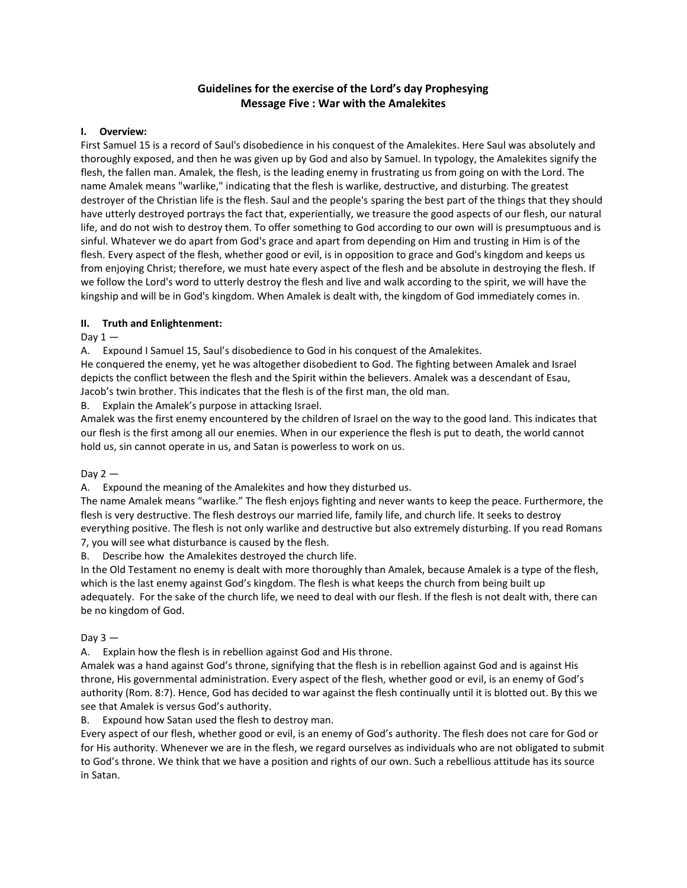# **Guidelines for the exercise of the Lord's day Prophesying Message Five : War with the Amalekites**

## **I. Overview:**

First Samuel 15 is a record of Saul's disobedience in his conquest of the Amalekites. Here Saul was absolutely and thoroughly exposed, and then he was given up by God and also by Samuel. In typology, the Amalekites signify the flesh, the fallen man. Amalek, the flesh, is the leading enemy in frustrating us from going on with the Lord. The name Amalek means "warlike," indicating that the flesh is warlike, destructive, and disturbing. The greatest destroyer of the Christian life is the flesh. Saul and the people's sparing the best part of the things that they should have utterly destroyed portrays the fact that, experientially, we treasure the good aspects of our flesh, our natural life, and do not wish to destroy them. To offer something to God according to our own will is presumptuous and is sinful. Whatever we do apart from God's grace and apart from depending on Him and trusting in Him is of the flesh. Every aspect of the flesh, whether good or evil, is in opposition to grace and God's kingdom and keeps us from enjoying Christ; therefore, we must hate every aspect of the flesh and be absolute in destroying the flesh. If we follow the Lord's word to utterly destroy the flesh and live and walk according to the spirit, we will have the kingship and will be in God's kingdom. When Amalek is dealt with, the kingdom of God immediately comes in.

## **II. Truth and Enlightenment:**

Day  $1 -$ 

A. Expound I Samuel 15, Saul's disobedience to God in his conquest of the Amalekites.

He conquered the enemy, yet he was altogether disobedient to God. The fighting between Amalek and Israel depicts the conflict between the flesh and the Spirit within the believers. Amalek was a descendant of Esau, Jacob's twin brother. This indicates that the flesh is of the first man, the old man.

B. Explain the Amalek's purpose in attacking Israel.

Amalek was the first enemy encountered by the children of Israel on the way to the good land. This indicates that our flesh is the first among all our enemies. When in our experience the flesh is put to death, the world cannot hold us, sin cannot operate in us, and Satan is powerless to work on us.

Day  $2-$ 

A. Expound the meaning of the Amalekites and how they disturbed us.

The name Amalek means "warlike." The flesh enjoys fighting and never wants to keep the peace. Furthermore, the flesh is very destructive. The flesh destroys our married life, family life, and church life. It seeks to destroy everything positive. The flesh is not only warlike and destructive but also extremely disturbing. If you read Romans 7, you will see what disturbance is caused by the flesh.

B. Describe how the Amalekites destroyed the church life.

In the Old Testament no enemy is dealt with more thoroughly than Amalek, because Amalek is a type of the flesh, which is the last enemy against God's kingdom. The flesh is what keeps the church from being built up adequately. For the sake of the church life, we need to deal with our flesh. If the flesh is not dealt with, there can be no kingdom of God.

#### Day  $3 -$

A. Explain how the flesh is in rebellion against God and His throne.

Amalek was a hand against God's throne, signifying that the flesh is in rebellion against God and is against His throne, His governmental administration. Every aspect of the flesh, whether good or evil, is an enemy of God's authority (Rom. 8:7). Hence, God has decided to war against the flesh continually until it is blotted out. By this we see that Amalek is versus God's authority.

B. Expound how Satan used the flesh to destroy man.

Every aspect of our flesh, whether good or evil, is an enemy of God's authority. The flesh does not care for God or for His authority. Whenever we are in the flesh, we regard ourselves as individuals who are not obligated to submit to God's throne. We think that we have a position and rights of our own. Such a rebellious attitude has its source in Satan.